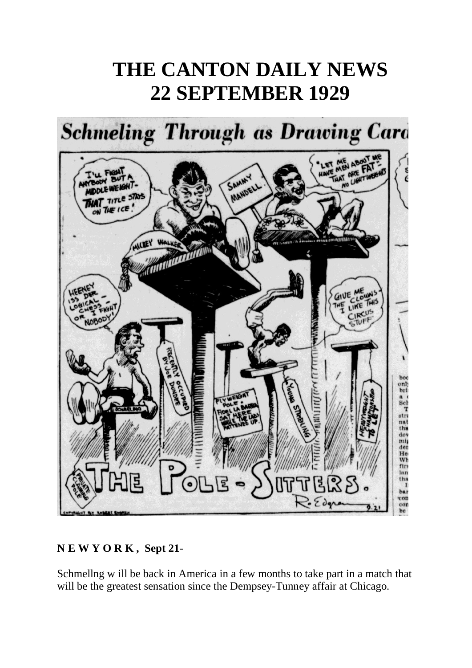## **THE CANTON DAILY NEWS 22 SEPTEMBER 1929**



## **N E W Y O R K , Sept 21**-

Schmellng w ill be back in America in a few months to take part in a match that will be the greatest sensation since the Dempsey-Tunney affair at Chicago.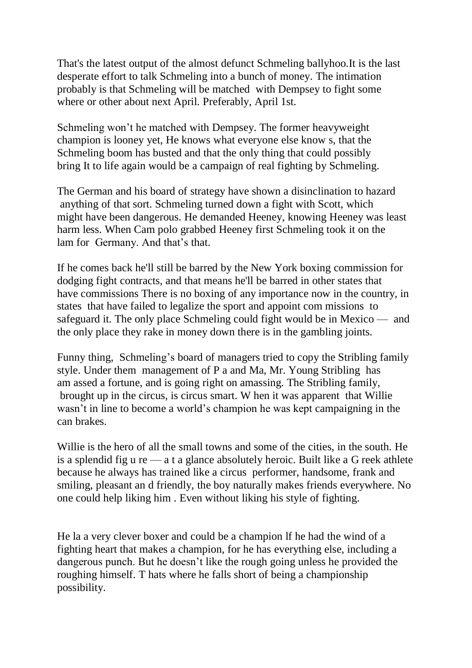That's the latest output of the almost defunct Schmeling ballyhoo.It is the last desperate effort to talk Schmeling into a bunch of money. The intimation probably is that Schmeling will be matched with Dempsey to fight some where or other about next April. Preferably, April 1st.

Schmeling won't he matched with Dempsey. The former heavyweight champion is looney yet, He knows what everyone else know s, that the Schmeling boom has busted and that the only thing that could possibly bring It to life again would be a campaign of real fighting by Schmeling.

The German and his board of strategy have shown a disinclination to hazard anything of that sort. Schmeling turned down a fight with Scott, which might have been dangerous. He demanded Heeney, knowing Heeney was least harm less. When Cam polo grabbed Heeney first Schmeling took it on the lam for Germany. And that's that.

If he comes back he'll still be barred by the New York boxing commission for dodging fight contracts, and that means he'll be barred in other states that have commissions There is no boxing of any importance now in the country, in states that have failed to legalize the sport and appoint com missions to safeguard it. The only place Schmeling could fight would be in Mexico — and the only place they rake in money down there is in the gambling joints.

Funny thing, Schmeling's board of managers tried to copy the Stribling family style. Under them management of P a and Ma, Mr. Young Stribling has am assed a fortune, and is going right on amassing. The Stribling family, brought up in the circus, is circus smart. W hen it was apparent that Willie wasn't in line to become a world's champion he was kept campaigning in the can brakes.

Willie is the hero of all the small towns and some of the cities, in the south. He is a splendid fig u re  $-$  a t a glance absolutely heroic. Built like a G reek athlete because he always has trained like a circus performer, handsome, frank and smiling, pleasant an d friendly, the boy naturally makes friends everywhere. No one could help liking him . Even without liking his style of fighting.

He la a very clever boxer and could be a champion lf he had the wind of a fighting heart that makes a champion, for he has everything else, including a dangerous punch. But he doesn't like the rough going unless he provided the roughing himself. T hats where he falls short of being a championship possibility.